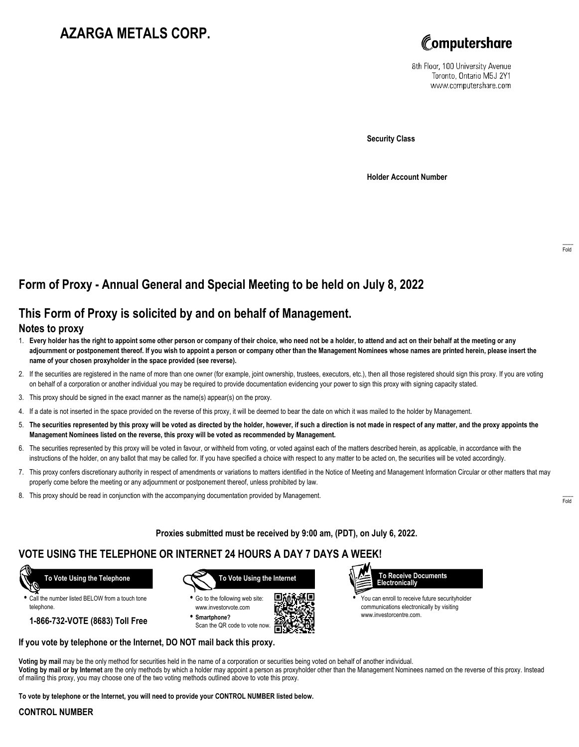# **AZARGA METALS CORP.**



8th Floor, 100 University Avenue Toronto, Ontario M5J 2Y1 www.computershare.com

**Security Class**

**Holder Account Number**

## **Form of Proxy - Annual General and Special Meeting to be held on July 8, 2022**

## **This Form of Proxy is solicited by and on behalf of Management.**

### **Notes to proxy**

- 1. **Every holder has the right to appoint some other person or company of their choice, who need not be a holder, to attend and act on their behalf at the meeting or any adjournment or postponement thereof. If you wish to appoint a person or company other than the Management Nominees whose names are printed herein, please insert the name of your chosen proxyholder in the space provided (see reverse).**
- 2. If the securities are registered in the name of more than one owner (for example, joint ownership, trustees, executors, etc.), then all those registered should sign this proxy. If you are voting on behalf of a corporation or another individual you may be required to provide documentation evidencing your power to sign this proxy with signing capacity stated.
- 3. This proxy should be signed in the exact manner as the name(s) appear(s) on the proxy.
- 4. If a date is not inserted in the space provided on the reverse of this proxy, it will be deemed to bear the date on which it was mailed to the holder by Management.
- 5. **The securities represented by this proxy will be voted as directed by the holder, however, if such a direction is not made in respect of any matter, and the proxy appoints the Management Nominees listed on the reverse, this proxy will be voted as recommended by Management.**
- 6. The securities represented by this proxy will be voted in favour, or withheld from voting, or voted against each of the matters described herein, as applicable, in accordance with the instructions of the holder, on any ballot that may be called for. If you have specified a choice with respect to any matter to be acted on, the securities will be voted accordingly.
- 7. This proxy confers discretionary authority in respect of amendments or variations to matters identified in the Notice of Meeting and Management Information Circular or other matters that may properly come before the meeting or any adjournment or postponement thereof, unless prohibited by law.
- 8. This proxy should be read in conjunction with the accompanying documentation provided by Management.

**Proxies submitted must be received by 9:00 am, (PDT), on July 6, 2022.**

. Г.

## **VOTE USING THE TELEPHONE OR INTERNET 24 HOURS A DAY 7 DAYS A WEEK!**



**•** Call the number listed BELOW from a touch tone telephone.

**1-866-732-VOTE (8683) Toll Free**



**•** Go to the following web site: www.investorvote.com **• Smartphone?**

Scan the QR code to vote now.



www.investorcentre.com.

**Voting by mail** may be the only method for securities held in the name of a corporation or securities being voted on behalf of another individual. **Voting by mail or by Internet** are the only methods by which a holder may appoint a person as proxyholder other than the Management Nominees named on the reverse of this proxy. Instead of mailing this proxy, you may choose one of the two voting methods outlined above to vote this proxy.

**To vote by telephone or the Internet, you will need to provide your CONTROL NUMBER listed below.**

**If you vote by telephone or the Internet, DO NOT mail back this proxy.**

#### **CONTROL NUMBER**